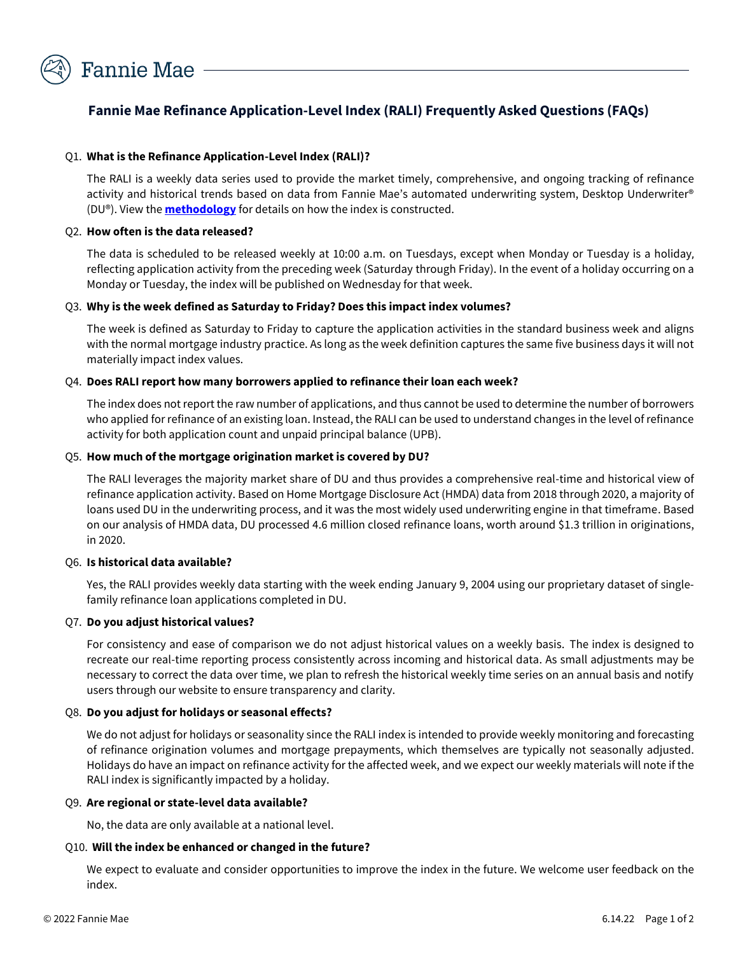

# **Fannie Mae Refinance Application-Level Index (RALI) Frequently Asked Questions (FAQs)**

### Q1. **What is the Refinance Application-Level Index (RALI)?**

The RALI is a weekly data series used to provide the market timely, comprehensive, and ongoing tracking of refinance activity and historical trends based on data from Fannie Mae's automated underwriting system, Desktop Underwriter® (DU®). View the **[methodology](https://www.fanniemae.com/media/document/pdf/fannie-mae-rali-methodology.pdf)** for details on how the index is constructed.

#### Q2. **How often is the data released?**

The data is scheduled to be released weekly at 10:00 a.m. on Tuesdays, except when Monday or Tuesday is a holiday, reflecting application activity from the preceding week (Saturday through Friday). In the event of a holiday occurring on a Monday or Tuesday, the index will be published on Wednesday for that week.

#### Q3. **Why is the week defined as Saturday to Friday? Does this impact index volumes?**

The week is defined as Saturday to Friday to capture the application activities in the standard business week and aligns with the normal mortgage industry practice. As long as the week definition captures the same five business days it will not materially impact index values.

#### Q4. **Does RALI report how many borrowers applied to refinance their loan each week?**

The index does not report the raw number of applications, and thus cannot be used to determine the number of borrowers who applied for refinance of an existing loan. Instead, the RALI can be used to understand changes in the level of refinance activity for both application count and unpaid principal balance (UPB).

#### Q5. **How much of the mortgage origination market is covered by DU?**

The RALI leverages the majority market share of DU and thus provides a comprehensive real-time and historical view of refinance application activity. Based on Home Mortgage Disclosure Act (HMDA) data from 2018 through 2020, a majority of loans used DU in the underwriting process, and it was the most widely used underwriting engine in that timeframe. Based on our analysis of HMDA data, DU processed 4.6 million closed refinance loans, worth around \$1.3 trillion in originations, in 2020.

#### Q6. **Is historical data available?**

Yes, the RALI provides weekly data starting with the week ending January 9, 2004 using our proprietary dataset of singlefamily refinance loan applications completed in DU.

### Q7. **Do you adjust historical values?**

For consistency and ease of comparison we do not adjust historical values on a weekly basis. The index is designed to recreate our real-time reporting process consistently across incoming and historical data. As small adjustments may be necessary to correct the data over time, we plan to refresh the historical weekly time series on an annual basis and notify users through our website to ensure transparency and clarity.

#### Q8. **Do you adjust for holidays or seasonal effects?**

We do not adjust for holidays or seasonality since the RALI index is intended to provide weekly monitoring and forecasting of refinance origination volumes and mortgage prepayments, which themselves are typically not seasonally adjusted. Holidays do have an impact on refinance activity for the affected week, and we expect our weekly materials will note if the RALI index is significantly impacted by a holiday.

#### Q9. **Are regional or state-level data available?**

No, the data are only available at a national level.

#### Q10. **Will the index be enhanced or changed in the future?**

We expect to evaluate and consider opportunities to improve the index in the future. We welcome user feedback on the index.